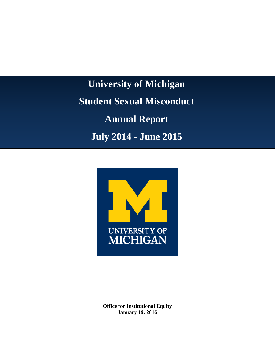**University of Michigan Student Sexual Misconduct Annual Report July 2014 - June 2015**



**Office for Institutional Equity January 19, 2016**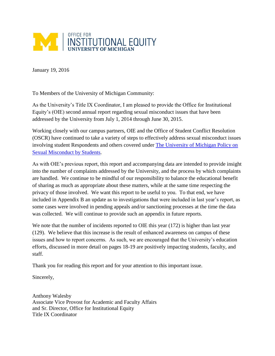

January 19, 2016

To Members of the University of Michigan Community:

As the University's Title IX Coordinator, I am pleased to provide the Office for Institutional Equity's (OIE) second annual report regarding sexual misconduct issues that have been addressed by the University from July 1, 2014 through June 30, 2015.

Working closely with our campus partners, OIE and the Office of Student Conflict Resolution (OSCR) have continued to take a variety of steps to effectively address sexual misconduct issues involving student Respondents and others covered under [The University of Michigan Policy on](https://studentsexualmisconductpolicy.umich.edu/)  [Sexual Misconduct by Students.](https://studentsexualmisconductpolicy.umich.edu/)

As with OIE's previous report, this report and accompanying data are intended to provide insight into the number of complaints addressed by the University, and the process by which complaints are handled. We continue to be mindful of our responsibility to balance the educational benefit of sharing as much as appropriate about these matters, while at the same time respecting the privacy of those involved. We want this report to be useful to you. To that end, we have included in Appendix B an update as to investigations that were included in last year's report, as some cases were involved in pending appeals and/or sanctioning processes at the time the data was collected. We will continue to provide such an appendix in future reports.

We note that the number of incidents reported to OIE this year (172) is higher than last year (129). We believe that this increase is the result of enhanced awareness on campus of these issues and how to report concerns. As such, we are encouraged that the University's education efforts, discussed in more detail on pages 18-19 are positively impacting students, faculty, and staff.

Thank you for reading this report and for your attention to this important issue.

Sincerely,

Anthony Walesby Associate Vice Provost for Academic and Faculty Affairs and Sr. Director, Office for Institutional Equity Title IX Coordinator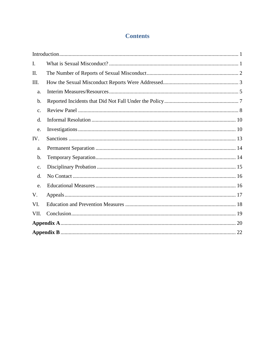## **Contents**

| I.             |  |  |  |  |  |
|----------------|--|--|--|--|--|
| II.            |  |  |  |  |  |
| III.           |  |  |  |  |  |
| a.             |  |  |  |  |  |
| b.             |  |  |  |  |  |
| c.             |  |  |  |  |  |
| d.             |  |  |  |  |  |
| e.             |  |  |  |  |  |
| IV.            |  |  |  |  |  |
| a.             |  |  |  |  |  |
| b.             |  |  |  |  |  |
| $\mathbf{C}$ . |  |  |  |  |  |
| d.             |  |  |  |  |  |
| e.             |  |  |  |  |  |
| V.             |  |  |  |  |  |
| VI.            |  |  |  |  |  |
| VII.           |  |  |  |  |  |
|                |  |  |  |  |  |
|                |  |  |  |  |  |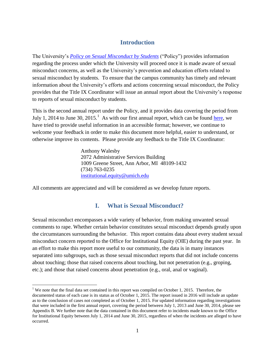#### **Introduction**

<span id="page-3-0"></span>The University's *[Policy on Sexual Misconduct by Students](http://studentsexualmisconductpolicy.umich.edu/content/university-michigan-policy-sexual-misconduct)* ("Policy") provides information regarding the process under which the University will proceed once it is made aware of sexual misconduct concerns, as well as the University's prevention and education efforts related to sexual misconduct by students. To ensure that the campus community has timely and relevant information about the University's efforts and actions concerning sexual misconduct, the Policy provides that the Title IX Coordinator will issue an annual report about the University's response to reports of sexual misconduct by students.

This is the second annual report under the Policy, and it provides data covering the period from July 1, 2014 to June 30, 2015.<sup>1</sup> As with our first annual report, which can be found [here,](https://hr.umich.edu/sites/default/files/FY14-annual-report-as-amended.pdf) we have tried to provide useful information in an accessible format; however, we continue to welcome your feedback in order to make this document more helpful, easier to understand, or otherwise improve its contents. Please provide any feedback to the Title IX Coordinator:

> Anthony Walesby 2072 Administrative Services Building 1009 Greene Street, Ann Arbor, MI 48109-1432 (734) 763-0235 [institutional.equity@umich.edu](mailto:institutional.equity@umich.edu)

<span id="page-3-1"></span>All comments are appreciated and will be considered as we develop future reports.

 $\overline{a}$ 

#### **I. What is Sexual Misconduct?**

Sexual misconduct encompasses a wide variety of behavior, from making unwanted sexual comments to rape. Whether certain behavior constitutes sexual misconduct depends greatly upon the circumstances surrounding the behavior. This report contains data about every student sexual misconduct concern reported to the Office for Institutional Equity (OIE) during the past year. In an effort to make this report more useful to our community, the data is in many instances separated into subgroups, such as those sexual misconduct reports that did not include concerns about touching; those that raised concerns about touching, but not penetration (e.g., groping, etc.); and those that raised concerns about penetration (e.g., oral, anal or vaginal).

<sup>&</sup>lt;sup>1</sup> We note that the final data set contained in this report was compiled on October 1, 2015. Therefore, the documented status of each case is its status as of October 1, 2015. The report issued in 2016 will include an update as to the conclusion of cases not completed as of October 1, 2015. For updated information regarding investigations that were included in the first annual report, covering the period between July 1, 2013 and June 30, 2014, please see Appendix B. We further note that the data contained in this document refer to incidents made known to the Office for Institutional Equity between July 1, 2014 and June 30, 2015, regardless of when the incidents are alleged to have occurred.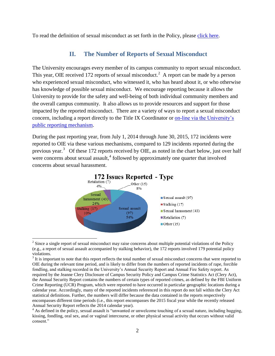<span id="page-4-0"></span>To read the definition of sexual misconduct as set forth in the Policy, please [click here.](http://studentsexualmisconductpolicy.umich.edu/definitions)

#### **II. The Number of Reports of Sexual Misconduct**

The University encourages every member of its campus community to report sexual misconduct. This year, OIE received 172 reports of sexual misconduct.<sup>2</sup> A report can be made by a person who experienced sexual misconduct, who witnessed it, who has heard about it, or who otherwise has knowledge of possible sexual misconduct. We encourage reporting because it allows the University to provide for the safety and well-being of both individual community members and the overall campus community. It also allows us to provide resources and support for those impacted by the reported misconduct. There are a variety of ways to report a sexual misconduct concern, including a report directly to the Title IX Coordinator or **on-line via the University's** [public reporting mechanism.](http://studentsexualmisconductpolicy.umich.edu/report-an-incident)

During the past reporting year, from July 1, 2014 through June 30, 2015, 172 incidents were reported to OIE via these various mechanisms, compared to 129 incidents reported during the previous year.<sup>3</sup> Of these 172 reports received by OIE, as noted in the chart below, just over half were concerns about sexual assault,<sup>4</sup> followed by approximately one quarter that involved concerns about sexual harassment.



 $2^{2}$  Since a single report of sexual misconduct may raise concerns about multiple potential violations of the Policy (e.g., a report of sexual assault accompanied by stalking behavior), the 172 reports involved 179 potential policy violations.

 $3$  It is important to note that this report reflects the total number of sexual misconduct concerns that were reported to OIE during the relevant time period, and is likely to differ from the numbers of reported incidents of rape, forcible fondling, and stalking recorded in the University's Annual Security Report and Annual Fire Safety report. As required by the Jeanne Clery Disclosure of Campus Security Policy and Campus Crime Statistics Act (Clery Act), the Annual Security Report contains the numbers of certain types of reported crimes, as defined by the FBI Uniform Crime Reporting (UCR) Program, which were reported to have occurred in particular geographic locations during a calendar year. Accordingly, many of the reported incidents referenced in this report do not fall within the Clery Act statistical definitions. Further, the numbers will differ because the data contained in the reports respectively encompasses different time periods (i.e., this report encompasses the 2015 fiscal year while the recently released Annual Security Report reflects the 2014 calendar year).

<sup>&</sup>lt;sup>4</sup> As defined in the policy, sexual assault is "unwanted or unwelcome touching of a sexual nature, including hugging, kissing, fondling, oral sex, anal or vaginal intercourse, or other physical sexual activity that occurs without valid consent."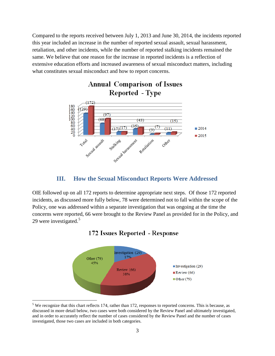Compared to the reports received between July 1, 2013 and June 30, 2014, the incidents reported this year included an increase in the number of reported sexual assault, sexual harassment, retaliation, and other incidents, while the number of reported stalking incidents remained the same. We believe that one reason for the increase in reported incidents is a reflection of extensive education efforts and increased awareness of sexual misconduct matters, including what constitutes sexual misconduct and how to report concerns.



#### **III. How the Sexual Misconduct Reports Were Addressed**

<span id="page-5-0"></span>OIE followed up on all 172 reports to determine appropriate next steps. Of those 172 reported incidents, as discussed more fully below, 78 were determined not to fall within the scope of the Policy, one was addressed within a separate investigation that was ongoing at the time the concerns were reported, 66 were brought to the Review Panel as provided for in the Policy, and 29 were investigated.<sup>5</sup>



#### 172 Issues Reported - Response

<sup>&</sup>lt;sup>5</sup> We recognize that this chart reflects 174, rather than 172, responses to reported concerns. This is because, as discussed in more detail below, two cases were both considered by the Review Panel and ultimately investigated, and in order to accurately reflect the number of cases considered by the Review Panel and the number of cases investigated, those two cases are included in both categories.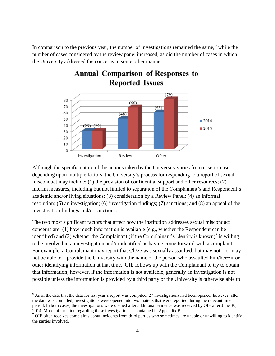In comparison to the previous year, the number of investigations remained the same,<sup>6</sup> while the number of cases considered by the review panel increased, as did the number of cases in which the University addressed the concerns in some other manner.



# **Annual Comparison of Responses to Reported Issues**

Although the specific nature of the actions taken by the University varies from case-to-case depending upon multiple factors, the University's process for responding to a report of sexual misconduct may include: (1) the provision of confidential support and other resources; (2) interim measures, including but not limited to separation of the Complainant's and Respondent's academic and/or living situations; (3) consideration by a Review Panel; (4) an informal resolution; (5) an investigation; (6) investigation findings; (7) sanctions; and (8) an appeal of the investigation findings and/or sanctions.

The two most significant factors that affect how the institution addresses sexual misconduct concerns are: (1) how much information is available (e.g., whether the Respondent can be identified) and (2) whether the Complainant (if the Complainant's identity is known)<sup>7</sup> is willing to be involved in an investigation and/or identified as having come forward with a complaint. For example, a Complainant may report that  $s/h$ /ze was sexually assaulted, but may not – or may not be able to – provide the University with the name of the person who assaulted him/her/zir or other identifying information at that time. OIE follows up with the Complainant to try to obtain that information; however, if the information is not available, generally an investigation is not possible unless the information is provided by a third party or the University is otherwise able to

 $6$  As of the date that the data for last year's report was compiled, 27 investigations had been opened; however, after the data was compiled, investigations were opened into two matters that were reported during the relevant time period. In both cases, the investigations were opened after additional evidence was received by OIE after June 30, 2014. More information regarding these investigations is contained in Appendix B.

 $<sup>7</sup>$  OIE often receives complaints about incidents from third parties who sometimes are unable or unwilling to identify</sup> the parties involved.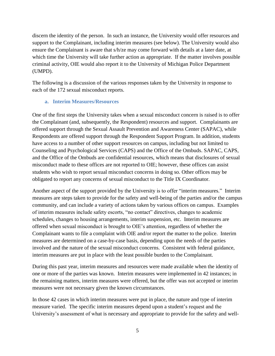discern the identity of the person. In such an instance, the University would offer resources and support to the Complainant, including interim measures (see below). The University would also ensure the Complainant is aware that s/h/ze may come forward with details at a later date, at which time the University will take further action as appropriate. If the matter involves possible criminal activity, OIE would also report it to the University of Michigan Police Department (UMPD).

The following is a discussion of the various responses taken by the University in response to each of the 172 sexual misconduct reports.

#### <span id="page-7-0"></span>**a. Interim Measures/Resources**

One of the first steps the University takes when a sexual misconduct concern is raised is to offer the Complainant (and, subsequently, the Respondent) resources and support. Complainants are offered support through the Sexual Assault Prevention and Awareness Center (SAPAC), while Respondents are offered support through the Respondent Support Program. In addition, students have access to a number of other support resources on campus, including but not limited to Counseling and Psychological Services (CAPS) and the Office of the Ombuds. SAPAC, CAPS, and the Office of the Ombuds are confidential resources, which means that disclosures of sexual misconduct made to these offices are not reported to OIE; however, these offices can assist students who wish to report sexual misconduct concerns in doing so. Other offices may be obligated to report any concerns of sexual misconduct to the Title IX Coordinator.

Another aspect of the support provided by the University is to offer "interim measures." Interim measures are steps taken to provide for the safety and well-being of the parties and/or the campus community, and can include a variety of actions taken by various offices on campus. Examples of interim measures include safety escorts, "no contact" directives, changes to academic schedules, changes to housing arrangements, interim suspension, etc. Interim measures are offered when sexual misconduct is brought to OIE's attention, regardless of whether the Complainant wants to file a complaint with OIE and/or report the matter to the police. Interim measures are determined on a case-by-case basis, depending upon the needs of the parties involved and the nature of the sexual misconduct concerns. Consistent with federal guidance, interim measures are put in place with the least possible burden to the Complainant.

During this past year, interim measures and resources were made available when the identity of one or more of the parties was known. Interim measures were implemented in 42 instances; in the remaining matters, interim measures were offered, but the offer was not accepted or interim measures were not necessary given the known circumstances.

In those 42 cases in which interim measures were put in place, the nature and type of interim measure varied. The specific interim measures depend upon a student's request and the University's assessment of what is necessary and appropriate to provide for the safety and well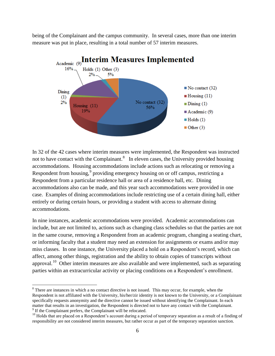being of the Complainant and the campus community. In several cases, more than one interim measure was put in place, resulting in a total number of 57 interim measures.



In 32 of the 42 cases where interim measures were implemented, the Respondent was instructed not to have contact with the Complainant.<sup>8</sup> In eleven cases, the University provided housing accommodations. Housing accommodations include actions such as relocating or removing a Respondent from housing,<sup>9</sup> providing emergency housing on or off campus, restricting a Respondent from a particular residence hall or area of a residence hall, etc. Dining accommodations also can be made, and this year such accommodations were provided in one case. Examples of dining accommodations include restricting use of a certain dining hall, either entirely or during certain hours, or providing a student with access to alternate dining accommodations.

In nine instances, academic accommodations were provided. Academic accommodations can include, but are not limited to, actions such as changing class schedules so that the parties are not in the same course, removing a Respondent from an academic program, changing a seating chart, or informing faculty that a student may need an extension for assignments or exams and/or may miss classes. In one instance, the University placed a hold on a Respondent's record, which can affect, among other things, registration and the ability to obtain copies of transcripts without approval.<sup>10</sup> Other interim measures are also available and were implemented, such as separating parties within an extracurricular activity or placing conditions on a Respondent's enrollment.

<sup>&</sup>lt;sup>8</sup> There are instances in which a no contact directive is not issued. This may occur, for example, when the Respondent is not affiliated with the University, his/her/zir identity is not known to the University, or a Complainant specifically requests anonymity and the directive cannot be issued without identifying the Complainant. In each matter that results in an investigation, the Respondent is directed not to have any contact with the Complainant. <sup>9</sup> If the Complainant prefers, the Complainant will be relocated.

<sup>&</sup>lt;sup>10</sup> Holds that are placed on a Respondent's account during a period of temporary separation as a result of a finding of responsibility are not considered interim measures, but rather occur as part of the temporary separation sanction.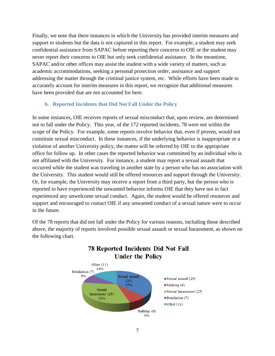Finally, we note that there instances in which the University has provided interim measures and support to students but the data is not captured in this report. For example, a student may seek confidential assistance from SAPAC before reporting their concerns to OIE or the student may never report their concerns to OIE but only seek confidential assistance. In the meantime, SAPAC and/or other offices may assist the student with a wide variety of matters, such as academic accommodations, seeking a personal protection order, assistance and support addressing the matter through the criminal justice system, etc. While efforts have been made to accurately account for interim measures in this report, we recognize that additional measures have been provided that are not accounted for here.

#### <span id="page-9-0"></span>**b. Reported Incidents that Did Not Fall Under the Policy**

In some instances, OIE receives reports of sexual misconduct that, upon review, are determined not to fall under the Policy. This year, of the 172 reported incidents, 78 were not within the scope of the Policy. For example, some reports involve behavior that, even if proven, would not constitute sexual misconduct. In these instances, if the underlying behavior is inappropriate or a violation of another University policy, the matter will be referred by OIE to the appropriate office for follow up. In other cases the reported behavior was committed by an individual who is not affiliated with the University. For instance, a student may report a sexual assault that occurred while the student was traveling in another state by a person who has no association with the University. This student would still be offered resources and support through the University. Or, for example, the University may receive a report from a third party, but the person who is reported to have experienced the unwanted behavior informs OIE that they have not in fact experienced any unwelcome sexual conduct. Again, the student would be offered resources and support and encouraged to contact OIE if any unwanted conduct of a sexual nature were to occur in the future.

Of the 78 reports that did not fall under the Policy for various reasons, including those described above, the majority of reports involved possible sexual assault or sexual harassment, as shown on the following chart.



## **78 Reported Incidents Did Not Fall Under the Policy**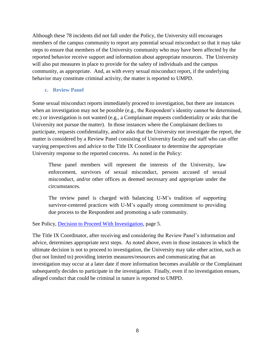Although these 78 incidents did not fall under the Policy, the University still encourages members of the campus community to report any potential sexual misconduct so that it may take steps to ensure that members of the University community who may have been affected by the reported behavior receive support and information about appropriate resources. The University will also put measures in place to provide for the safety of individuals and the campus community, as appropriate. And, as with every sexual misconduct report, if the underlying behavior may constitute criminal activity, the matter is reported to UMPD.

#### <span id="page-10-0"></span>**c. Review Panel**

Some sexual misconduct reports immediately proceed to investigation, but there are instances when an investigation may not be possible (e.g., the Respondent's identity cannot be determined, etc.) or investigation is not wanted (e.g., a Complainant requests confidentiality or asks that the University not pursue the matter). In those instances where the Complainant declines to participate, requests confidentiality, and/or asks that the University not investigate the report, the matter is considered by a Review Panel consisting of University faculty and staff who can offer varying perspectives and advice to the Title IX Coordinator to determine the appropriate University response to the reported concerns. As noted in the Policy:

These panel members will represent the interests of the University, law enforcement, survivors of sexual misconduct, persons accused of sexual misconduct, and/or other offices as deemed necessary and appropriate under the circumstances.

The review panel is charged with balancing U-M's tradition of supporting survivor-centered practices with U-M's equally strong commitment to providing due process to the Respondent and promoting a safe community.

See Policy, [Decision to Proceed With Investigation,](http://studentsexualmisconductpolicy.umich.edu/decision-proceed-investigation) page 5.

The Title IX Coordinator, after receiving and considering the Review Panel's information and advice, determines appropriate next steps. As noted above, even in those instances in which the ultimate decision is not to proceed to investigation, the University may take other action, such as (but not limited to) providing interim measures/resources and communicating that an investigation may occur at a later date if more information becomes available or the Complainant subsequently decides to participate in the investigation. Finally, even if no investigation ensues, alleged conduct that could be criminal in nature is reported to UMPD.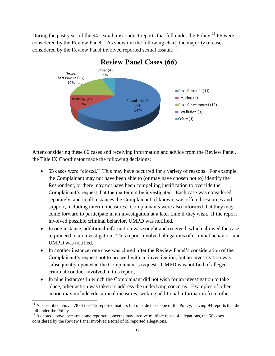During the past year, of the 94 sexual misconduct reports that fell under the Policy, <sup>11</sup> 66 were considered by the Review Panel. As shown in the following chart, the majority of cases considered by the Review Panel involved reported sexual assault:<sup>12</sup>



#### **Review Panel Cases (66)**

After considering these 66 cases and receiving information and advice from the Review Panel, the Title IX Coordinator made the following decisions:

- 55 cases were "closed." This may have occurred for a variety of reasons. For example, the Complainant may not have been able to (or may have chosen not to) identify the Respondent, or there may not have been compelling justification to override the Complainant's request that the matter not be investigated. Each case was considered separately, and in all instances the Complainant, if known, was offered resources and support, including interim measures. Complainants were also informed that they may come forward to participate in an investigation at a later time if they wish. If the report involved possible criminal behavior, UMPD was notified.
- In one instance, additional information was sought and received, which allowed the case to proceed to an investigation. This report involved allegations of criminal behavior, and UMPD was notified.
- In another instance, one case was closed after the Review Panel's consideration of the Complainant's request not to proceed with an investigation, but an investigation was subsequently opened at the Complainant's request. UMPD was notified of alleged criminal conduct involved in this report.
- In nine instances in which the Complainant did not wish for an investigation to take place, other action was taken to address the underlying concerns. Examples of other action may include educational measures, seeking additional information from other

 $11$  As described above, 78 of the 172 reported matters fell outside the scope of the Policy, leaving 94 reports that did fall under the Policy.

 $12$  As noted above, because some reported concerns may involve multiple types of allegations, the 66 cases considered by the Review Panel involved a total of 69 reported allegations.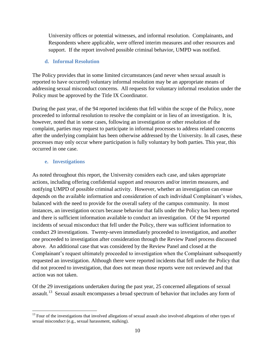University offices or potential witnesses, and informal resolution. Complainants, and Respondents where applicable, were offered interim measures and other resources and support. If the report involved possible criminal behavior, UMPD was notified.

#### <span id="page-12-0"></span>**d. Informal Resolution**

The Policy provides that in some limited circumstances (and never when sexual assault is reported to have occurred) voluntary informal resolution may be an appropriate means of addressing sexual misconduct concerns. All requests for voluntary informal resolution under the Policy must be approved by the Title IX Coordinator.

During the past year, of the 94 reported incidents that fell within the scope of the Policy, none proceeded to informal resolution to resolve the complaint or in lieu of an investigation. It is, however, noted that in some cases, following an investigation or other resolution of the complaint, parties may request to participate in informal processes to address related concerns after the underlying complaint has been otherwise addressed by the University. In all cases, these processes may only occur where participation is fully voluntary by both parties. This year, this occurred in one case.

#### **e. Investigations**

 $\overline{a}$ 

<span id="page-12-1"></span>As noted throughout this report, the University considers each case, and takes appropriate actions, including offering confidential support and resources and/or interim measures, and notifying UMPD of possible criminal activity. However, whether an investigation can ensue depends on the available information and consideration of each individual Complainant's wishes, balanced with the need to provide for the overall safety of the campus community. In most instances, an investigation occurs because behavior that falls under the Policy has been reported and there is sufficient information available to conduct an investigation. Of the 94 reported incidents of sexual misconduct that fell under the Policy, there was sufficient information to conduct 29 investigations. Twenty-seven immediately proceeded to investigation, and another one proceeded to investigation after consideration through the Review Panel process discussed above. An additional case that was considered by the Review Panel and closed at the Complainant's request ultimately proceeded to investigation when the Complainant subsequently requested an investigation. Although there were reported incidents that fell under the Policy that did not proceed to investigation, that does not mean those reports were not reviewed and that action was not taken.

Of the 29 investigations undertaken during the past year, 25 concerned allegations of sexual assault.<sup>13</sup> Sexual assault encompasses a broad spectrum of behavior that includes any form of

 $13$  Four of the investigations that involved allegations of sexual assault also involved allegations of other types of sexual misconduct (e.g., sexual harassment, stalking).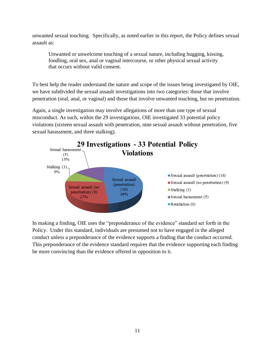unwanted sexual touching. Specifically, as noted earlier in this report, the Policy defines sexual assault as:

Unwanted or unwelcome touching of a sexual nature, including hugging, kissing, fondling, oral sex, anal or vaginal intercourse, or other physical sexual activity that occurs without valid consent.

To best help the reader understand the nature and scope of the issues being investigated by OIE, we have subdivided the sexual assault investigations into two categories: those that involve penetration (oral, anal, or vaginal) and those that involve unwanted touching, but no penetration.

Again, a single investigation may involve allegations of more than one type of sexual misconduct. As such, within the 29 investigations, OIE investigated 33 potential policy violations (sixteen sexual assault with penetration, nine sexual assault without penetration, five sexual harassment, and three stalking).



In making a finding, OIE uses the "preponderance of the evidence" standard set forth in the Policy. Under this standard, individuals are presumed not to have engaged in the alleged conduct unless a preponderance of the evidence supports a finding that the conduct occurred. This preponderance of the evidence standard requires that the evidence supporting each finding be more convincing than the evidence offered in opposition to it.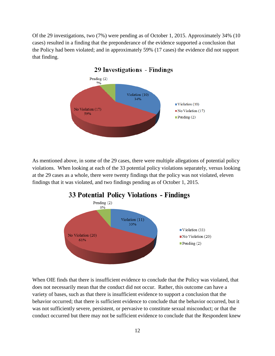Of the 29 investigations, two (7%) were pending as of October 1, 2015. Approximately 34% (10 cases) resulted in a finding that the preponderance of the evidence supported a conclusion that the Policy had been violated; and in approximately 59% (17 cases) the evidence did not support that finding.



As mentioned above, in some of the 29 cases, there were multiple allegations of potential policy violations. When looking at each of the 33 potential policy violations separately, versus looking at the 29 cases as a whole, there were twenty findings that the policy was not violated, eleven findings that it was violated, and two findings pending as of October 1, 2015.



When OIE finds that there is insufficient evidence to conclude that the Policy was violated, that does not necessarily mean that the conduct did not occur. Rather, this outcome can have a variety of bases, such as that there is insufficient evidence to support a conclusion that the behavior occurred; that there is sufficient evidence to conclude that the behavior occurred, but it was not sufficiently severe, persistent, or pervasive to constitute sexual misconduct; or that the conduct occurred but there may not be sufficient evidence to conclude that the Respondent knew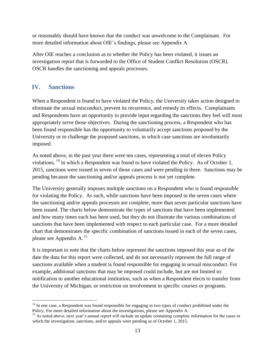or reasonably should have known that the conduct was unwelcome to the Complainant. For more detailed information about OIE's findings, please see Appendix A.

After OIE reaches a conclusion as to whether the Policy has been violated, it issues an investigation report that is forwarded to the Office of Student Conflict Resolution (OSCR). OSCR handles the sanctioning and appeals processes.

#### <span id="page-15-0"></span>**IV. Sanctions**

 $\overline{a}$ 

When a Respondent is found to have violated the Policy, the University takes action designed to eliminate the sexual misconduct, prevent its recurrence, and remedy its effects. Complainants and Respondents have an opportunity to provide input regarding the sanctions they feel will most appropriately serve those objectives. During the sanctioning process, a Respondent who has been found responsible has the opportunity to voluntarily accept sanctions proposed by the University or to challenge the proposed sanctions, in which case sanctions are involuntarily imposed.

As noted above, in the past year there were ten cases, representing a total of eleven Policy violations, <sup>14</sup> in which a Respondent was found to have violated the Policy. As of October 1, 2015, sanctions were issued in seven of those cases and were pending in three. Sanctions may be pending because the sanctioning and/or appeals process is not yet complete.

The University generally imposes multiple sanctions on a Respondent who is found responsible for violating the Policy. As such, while sanctions have been imposed in the seven cases where the sanctioning and/or appeals processes are complete, more than seven particular sanctions have been issued. The charts below demonstrate the types of sanctions that have been implemented and how many times each has been used, but they do not illustrate the various combinations of sanctions that have been implemented with respect to each particular case. For a more detailed chart that demonstrates the specific combination of sanctions issued in each of the seven cases, please see Appendix A.<sup>15</sup>

It is important to note that the charts below represent the sanctions imposed this year as of the date the data for this report were collected, and do not necessarily represent the full range of sanctions available when a student is found responsible for engaging in sexual misconduct. For example, additional sanctions that may be imposed could include, but are not limited to: notification to another educational institution, such as when a Respondent elects to transfer from the University of Michigan; or restriction on involvement in specific courses or programs.

<sup>&</sup>lt;sup>14</sup> In one case, a Respondent was found responsible for engaging in two types of conduct prohibited under the Policy. For more detailed information about the investigations, please see Appendix A.

<sup>&</sup>lt;sup>15</sup> As noted above, next year's annual report will include an update containing complete information for the cases in which the investigation, sanctions, and/or appeals were pending as of October 1, 2015.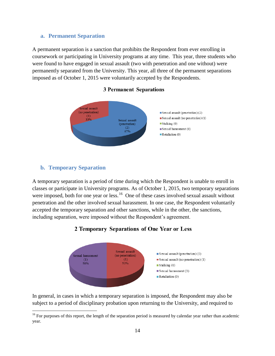#### <span id="page-16-0"></span>**a. Permanent Separation**

A permanent separation is a sanction that prohibits the Respondent from ever enrolling in coursework or participating in University programs at any time. This year, three students who were found to have engaged in sexual assault (two with penetration and one without) were permanently separated from the University. This year, all three of the permanent separations imposed as of October 1, 2015 were voluntarily accepted by the Respondents.

#### **3 Permanent Separations**



#### <span id="page-16-1"></span>**b. Temporary Separation**

 $\overline{a}$ 

A temporary separation is a period of time during which the Respondent is unable to enroll in classes or participate in University programs. As of October 1, 2015, two temporary separations were imposed, both for one year or less.<sup>16</sup> One of these cases involved sexual assault without penetration and the other involved sexual harassment. In one case, the Respondent voluntarily accepted the temporary separation and other sanctions, while in the other, the sanctions, including separation, were imposed without the Respondent's agreement.

#### 2 Temporary Separations of One Year or Less



In general, in cases in which a temporary separation is imposed, the Respondent may also be subject to a period of disciplinary probation upon returning to the University, and required to

 $16$  For purposes of this report, the length of the separation period is measured by calendar year rather than academic year.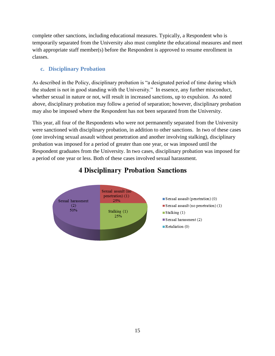complete other sanctions, including educational measures. Typically, a Respondent who is temporarily separated from the University also must complete the educational measures and meet with appropriate staff member(s) before the Respondent is approved to resume enrollment in classes.

#### <span id="page-17-0"></span>**c. Disciplinary Probation**

As described in the Policy, disciplinary probation is "a designated period of time during which the student is not in good standing with the University." In essence, any further misconduct, whether sexual in nature or not, will result in increased sanctions, up to expulsion. As noted above, disciplinary probation may follow a period of separation; however, disciplinary probation may also be imposed where the Respondent has not been separated from the University.

This year, all four of the Respondents who were not permanently separated from the University were sanctioned with disciplinary probation, in addition to other sanctions. In two of these cases (one involving sexual assault without penetration and another involving stalking), disciplinary probation was imposed for a period of greater than one year, or was imposed until the Respondent graduates from the University. In two cases, disciplinary probation was imposed for a period of one year or less. Both of these cases involved sexual harassment.



## **4 Disciplinary Probation Sanctions**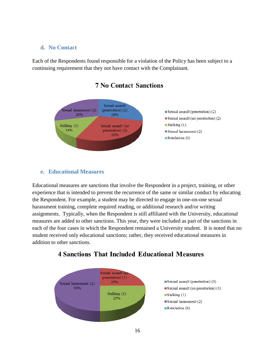#### <span id="page-18-0"></span>**d. No Contact**

Each of the Respondents found responsible for a violation of the Policy has been subject to a continuing requirement that they not have contact with the Complainant.



#### **7 No Contact Sanctions**

#### <span id="page-18-1"></span>**e. Educational Measures**

Educational measures are sanctions that involve the Respondent in a project, training, or other experience that is intended to prevent the recurrence of the same or similar conduct by educating the Respondent. For example, a student may be directed to engage in one-on-one sexual harassment training, complete required reading, or additional research and/or writing assignments. Typically, when the Respondent is still affiliated with the University, educational measures are added to other sanctions. This year, they were included as part of the sanctions in each of the four cases in which the Respondent remained a University student. It is noted that no student received only educational sanctions; rather, they received educational measures in addition to other sanctions.



### **4 Sanctions That Included Educational Measures**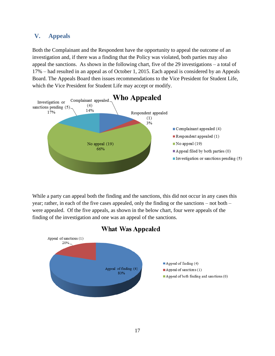#### <span id="page-19-0"></span>**V. Appeals**

Both the Complainant and the Respondent have the opportunity to appeal the outcome of an investigation and, if there was a finding that the Policy was violated, both parties may also appeal the sanctions. As shown in the following chart, five of the 29 investigations – a total of 17% – had resulted in an appeal as of October 1, 2015. Each appeal is considered by an Appeals Board. The Appeals Board then issues recommendations to the Vice President for Student Life, which the Vice President for Student Life may accept or modify.



While a party can appeal both the finding and the sanctions, this did not occur in any cases this year; rather, in each of the five cases appealed, only the finding or the sanctions – not both – were appealed. Of the five appeals, as shown in the below chart, four were appeals of the finding of the investigation and one was an appeal of the sanctions.

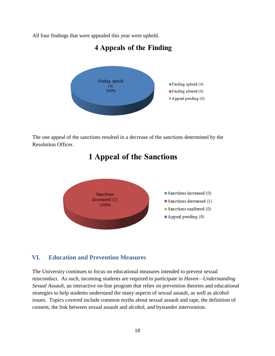All four findings that were appealed this year were upheld.

## **4 Appeals of the Finding**



The one appeal of the sanctions resulted in a decrease of the sanctions determined by the Resolution Officer.

# **1 Appeal of the Sanctions**



#### <span id="page-20-0"></span>**VI. Education and Prevention Measures**

The University continues to focus on educational measures intended to prevent sexual misconduct. As such, incoming students are required to participate in *Haven—Understanding Sexual Assault*, an interactive on-line program that relies on prevention theories and educational strategies to help students understand the many aspects of sexual assault, as well as alcohol issues. Topics covered include common myths about sexual assault and rape, the definition of consent, the link between sexual assault and alcohol, and bystander intervention.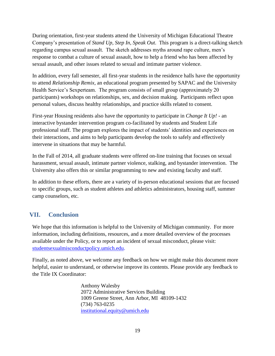During orientation, first-year students attend the University of Michigan Educational Theatre Company's presentation of *Stand Up, Step In, Speak Out*. This program is a direct-talking sketch regarding campus sexual assault. The sketch addresses myths around rape culture, men's response to combat a culture of sexual assault, how to help a friend who has been affected by sexual assault, and other issues related to sexual and intimate partner violence.

In addition, every fall semester, all first-year students in the residence halls have the opportunity to attend *Relationship Remix*, an educational program presented by SAPAC and the University Health Service's Sexperteam. The program consists of small group (approximately 20 participants) workshops on relationships, sex, and decision making. Participants reflect upon personal values, discuss healthy relationships, and practice skills related to consent.

First-year Housing residents also have the opportunity to participate in *Change It Up! -* an interactive bystander intervention program co-facilitated by students and Student Life professional staff. The program explores the impact of students' identities and experiences on their interactions, and aims to help participants develop the tools to safely and effectively intervene in situations that may be harmful.

In the Fall of 2014, all graduate students were offered on-line training that focuses on sexual harassment, sexual assault, intimate partner violence, stalking, and bystander intervention. The University also offers this or similar programming to new and existing faculty and staff.

In addition to these efforts, there are a variety of in-person educational sessions that are focused to specific groups, such as student athletes and athletics administrators, housing staff, summer camp counselors, etc.

### <span id="page-21-0"></span>**VII. Conclusion**

We hope that this information is helpful to the University of Michigan community. For more information, including definitions, resources, and a more detailed overview of the processes available under the Policy, or to report an incident of sexual misconduct, please visit: [studentsexualmisconductpolicy.umich.edu.](http://studentsexualmisconductpolicy.umich.edu/)

Finally, as noted above, we welcome any feedback on how we might make this document more helpful, easier to understand, or otherwise improve its contents. Please provide any feedback to the Title IX Coordinator:

> Anthony Walesby 2072 Administrative Services Building 1009 Greene Street, Ann Arbor, MI 48109-1432 (734) 763-0235 [institutional.equity@umich.edu](mailto:institutional.equity@umich.edu)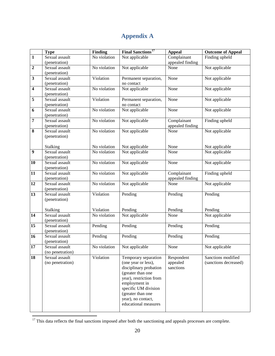## **Appendix A**

<span id="page-22-0"></span>

|                         | <b>Type</b>                     | <b>Finding</b> | <b>Final Sanctions<sup>17</sup></b> | <b>Appeal</b>    | <b>Outcome of Appeal</b> |
|-------------------------|---------------------------------|----------------|-------------------------------------|------------------|--------------------------|
| $\overline{1}$          | Sexual assault                  | No violation   | Not applicable                      | Complainant      | Finding upheld           |
|                         | (penetration)                   |                |                                     | appealed finding |                          |
| $\mathbf 2$             | Sexual assault                  | No violation   | Not applicable                      | None             | Not applicable           |
|                         | (penetration)                   |                |                                     |                  |                          |
| $\overline{\mathbf{3}}$ | Sexual assault                  | Violation      | Permanent separation,               | None             | Not applicable           |
|                         | (penetration)                   |                | no contact                          |                  |                          |
| $\overline{\mathbf{4}}$ | Sexual assault                  | No violation   | Not applicable                      | None             | Not applicable           |
|                         | (penetration)                   |                |                                     |                  |                          |
| 5                       | Sexual assault                  | Violation      | Permanent separation,               | None             | Not applicable           |
|                         | (penetration)                   |                | no contact                          |                  |                          |
| 6                       | Sexual assault                  | No violation   | Not applicable                      | None             | Not applicable           |
| $\overline{7}$          | (penetration)<br>Sexual assault | No violation   | Not applicable                      | Complainant      | Finding upheld           |
|                         | (penetration)                   |                |                                     | appealed finding |                          |
| 8                       | Sexual assault                  | No violation   | Not applicable                      | None             | Not applicable           |
|                         | (penetration)                   |                |                                     |                  |                          |
|                         |                                 |                |                                     |                  |                          |
|                         | Stalking                        | No violation   | Not applicable                      | None             | Not applicable           |
| $\boldsymbol{9}$        | Sexual assault                  | No violation   | Not applicable                      | None             | Not applicable           |
|                         | (penetration)                   |                |                                     |                  |                          |
| 10                      | Sexual assault                  | No violation   | Not applicable                      | None             | Not applicable           |
|                         | (penetration)                   |                |                                     |                  |                          |
| 11                      | Sexual assault                  | No violation   | Not applicable                      | Complainant      | Finding upheld           |
|                         | (penetration)                   |                |                                     | appealed finding |                          |
| 12                      | Sexual assault                  | No violation   | Not applicable                      | None             | Not applicable           |
|                         | (penetration)                   |                |                                     |                  |                          |
| 13                      | Sexual assault                  | Violation      | Pending                             | Pending          | Pending                  |
|                         | (penetration)                   |                |                                     |                  |                          |
|                         |                                 |                |                                     |                  |                          |
|                         | Stalking                        | Violation      | Pending                             | Pending          | Pending                  |
| 14                      | Sexual assault                  | No violation   | Not applicable                      | None             | Not applicable           |
| 15                      | (penetration)<br>Sexual assault | Pending        | Pending                             |                  | Pending                  |
|                         | (penetration)                   |                |                                     | Pending          |                          |
| $\overline{16}$         | Sexual assault                  | Pending        | Pending                             | Pending          | Pending                  |
|                         | (penetration)                   |                |                                     |                  |                          |
| 17                      | Sexual assault                  | No violation   | Not applicable                      | None             | Not applicable           |
|                         | (no penetration)                |                |                                     |                  |                          |
| 18                      | Sexual assault                  | Violation      | Temporary separation                | Respondent       | Sanctions modified       |
|                         | (no penetration)                |                | (one year or less),                 | appealed         | (sanctions decreased)    |
|                         |                                 |                | disciplinary probation              | sanctions        |                          |
|                         |                                 |                | (greater than one                   |                  |                          |
|                         |                                 |                | year), restriction from             |                  |                          |
|                         |                                 |                | employment in                       |                  |                          |
|                         |                                 |                | specific UM division                |                  |                          |
|                         |                                 |                | (greater than one                   |                  |                          |
|                         |                                 |                | year), no contact,                  |                  |                          |
|                         |                                 |                | educational measures                |                  |                          |
|                         |                                 |                |                                     |                  |                          |

 $17$  This data reflects the final sanctions imposed after both the sanctioning and appeals processes are complete.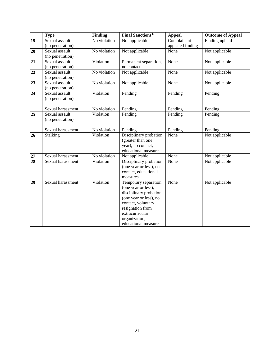|                 | <b>Type</b>                        | <b>Finding</b> | <b>Final Sanctions<sup>17</sup></b>                                                                                                                                                                   | <b>Appeal</b>                   | <b>Outcome of Appeal</b> |
|-----------------|------------------------------------|----------------|-------------------------------------------------------------------------------------------------------------------------------------------------------------------------------------------------------|---------------------------------|--------------------------|
| 19              | Sexual assault<br>(no penetration) | No violation   | Not applicable                                                                                                                                                                                        | Complainant<br>appealed finding | Finding upheld           |
| $\overline{20}$ | Sexual assault<br>(no penetration) | No violation   | Not applicable                                                                                                                                                                                        | None                            | Not applicable           |
| $\overline{21}$ | Sexual assault<br>(no penetration) | Violation      | Permanent separation,<br>no contact                                                                                                                                                                   | None                            | Not applicable           |
| 22              | Sexual assault<br>(no penetration) | No violation   | Not applicable                                                                                                                                                                                        | None                            | Not applicable           |
| 23              | Sexual assault<br>(no penetration) | No violation   | Not applicable                                                                                                                                                                                        | None                            | Not applicable           |
| 24              | Sexual assault<br>(no penetration) | Violation      | Pending                                                                                                                                                                                               | Pending                         | Pending                  |
|                 | Sexual harassment                  | No violation   | Pending                                                                                                                                                                                               | Pending                         | Pending                  |
| 25              | Sexual assault<br>(no penetration) | Violation      | Pending                                                                                                                                                                                               | Pending                         | Pending                  |
|                 | Sexual harassment                  | No violation   | Pending                                                                                                                                                                                               | Pending                         | Pending                  |
| 26              | Stalking                           | Violation      | Disciplinary probation<br>(greater than one<br>year), no contact,<br>educational measures                                                                                                             | None                            | Not applicable           |
| 27              | Sexual harassment                  | No violation   | Not applicable                                                                                                                                                                                        | None                            | Not applicable           |
| 28              | Sexual harassment                  | Violation      | Disciplinary probation<br>(one year or less), no<br>contact, educational<br>measures                                                                                                                  | None                            | Not applicable           |
| 29              | Sexual harassment                  | Violation      | Temporary separation<br>(one year or less),<br>disciplinary probation<br>(one year or less), no<br>contact, voluntary<br>resignation from<br>extracurricular<br>organization,<br>educational measures | None                            | Not applicable           |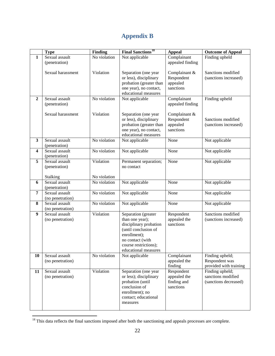## **Appendix B**

<span id="page-24-0"></span>

|                         | <b>Type</b>                     | Finding      | <b>Final Sanctions<sup>18</sup></b>        | <b>Appeal</b>               | <b>Outcome of Appeal</b>                    |
|-------------------------|---------------------------------|--------------|--------------------------------------------|-----------------------------|---------------------------------------------|
| 1                       | Sexual assault                  | No violation | Not applicable                             | Complainant                 | Finding upheld                              |
|                         | (penetration)                   |              |                                            | appealed finding            |                                             |
|                         | Sexual harassment               | Violation    | Separation (one year                       | Complainant &               | Sanctions modified                          |
|                         |                                 |              | or less), disciplinary                     | Respondent                  | (sanctions increased)                       |
|                         |                                 |              | probation (greater than                    | appealed                    |                                             |
|                         |                                 |              | one year), no contact,                     | sanctions                   |                                             |
|                         |                                 |              | educational measures                       |                             |                                             |
| $\overline{2}$          | Sexual assault                  | No violation | Not applicable                             | Complainant                 | Finding upheld                              |
|                         | (penetration)                   |              |                                            | appealed finding            |                                             |
|                         | Sexual harassment               | Violation    | Separation (one year                       | Complainant &               |                                             |
|                         |                                 |              | or less), disciplinary                     | Respondent                  | Sanctions modified                          |
|                         |                                 |              | probation (greater than                    | appealed                    | (sanctions increased)                       |
|                         |                                 |              | one year), no contact,                     | sanctions                   |                                             |
|                         |                                 |              | educational measures                       |                             |                                             |
| $\mathbf{3}$            | Sexual assault                  | No violation | Not applicable                             | None                        | Not applicable                              |
|                         | (penetration)<br>Sexual assault |              |                                            |                             |                                             |
| $\overline{\mathbf{4}}$ | (penetration)                   | No violation | Not applicable                             | None                        | Not applicable                              |
| 5                       | Sexual assault                  | Violation    | Permanent separation;                      | None                        | Not applicable                              |
|                         | (penetration)                   |              | no contact                                 |                             |                                             |
|                         |                                 |              |                                            |                             |                                             |
|                         | Stalking                        | No violation |                                            |                             |                                             |
| 6                       | Sexual assault                  | No violation | Not applicable                             | None                        | Not applicable                              |
|                         | (penetration)<br>Sexual assault |              |                                            |                             |                                             |
| 7                       | (no penetration)                | No violation | Not applicable                             | None                        | Not applicable                              |
| 8                       | Sexual assault                  | No violation | Not applicable                             | None                        | Not applicable                              |
|                         | (no penetration)                |              |                                            |                             |                                             |
| 9                       | Sexual assault                  | Violation    | Separation (greater                        | Respondent                  | Sanctions modified                          |
|                         | (no penetration)                |              | than one year);                            | appealed the                | (sanctions increased)                       |
|                         |                                 |              | disciplinary probation                     | sanctions                   |                                             |
|                         |                                 |              | (until conclusion of<br>enrollment);       |                             |                                             |
|                         |                                 |              | no contact (with                           |                             |                                             |
|                         |                                 |              | course restrictions);                      |                             |                                             |
|                         |                                 |              | educational measures                       |                             |                                             |
| 10                      | Sexual assault                  | No violation | Not applicable                             | Complainant                 | Finding upheld;                             |
|                         | (no penetration)                |              |                                            | appealed the                | Respondent was                              |
|                         |                                 |              |                                            | finding                     | provided with training                      |
| 11                      | Sexual assault                  | Violation    | Separation (one year                       | Respondent                  | Finding upheld;                             |
|                         | (no penetration)                |              | or less); disciplinary<br>probation (until | appealed the<br>finding and | sanctions modified<br>(sanctions decreased) |
|                         |                                 |              | conclusion of                              | sanctions                   |                                             |
|                         |                                 |              | enrollment); no                            |                             |                                             |
|                         |                                 |              | contact; educational                       |                             |                                             |
|                         |                                 |              | measures                                   |                             |                                             |
|                         |                                 |              |                                            |                             |                                             |

 $18$  This data reflects the final sanctions imposed after both the sanctioning and appeals processes are complete.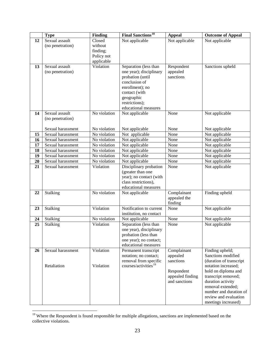|    | <b>Type</b>       | <b>Finding</b> | <b>Final Sanctions<sup>18</sup></b>    | <b>Appeal</b>    | <b>Outcome of Appeal</b> |
|----|-------------------|----------------|----------------------------------------|------------------|--------------------------|
| 12 | Sexual assault    | Closed         | Not applicable                         | Not applicable   | Not applicable           |
|    | (no penetration)  | without        |                                        |                  |                          |
|    |                   | finding;       |                                        |                  |                          |
|    |                   | Policy not     |                                        |                  |                          |
|    |                   | applicable     |                                        |                  |                          |
| 13 | Sexual assault    | Violation      | Separation (less than                  | Respondent       | Sanctions upheld         |
|    | (no penetration)  |                | one year); disciplinary                | appealed         |                          |
|    |                   |                | probation (until                       | sanctions        |                          |
|    |                   |                | conclusion of                          |                  |                          |
|    |                   |                | enrollment); no                        |                  |                          |
|    |                   |                | contact (with                          |                  |                          |
|    |                   |                | geographic                             |                  |                          |
|    |                   |                | restrictions);<br>educational measures |                  |                          |
| 14 | Sexual assault    | No violation   | Not applicable                         | None             | Not applicable           |
|    | (no penetration)  |                |                                        |                  |                          |
|    |                   |                |                                        |                  |                          |
|    | Sexual harassment | No violation   | Not applicable                         | None             | Not applicable           |
| 15 | Sexual harassment | No violation   | Not applicable                         | None             | Not applicable           |
| 16 | Sexual harassment | No violation   | Not applicable                         | None             | Not applicable           |
| 17 | Sexual harassment | No violation   | Not applicable                         | None             | Not applicable           |
| 18 | Sexual harassment | No violation   | Not applicable                         | None             | Not applicable           |
| 19 | Sexual harassment | No violation   | Not applicable                         | None             | Not applicable           |
| 20 | Sexual harassment | No violation   | Not applicable                         | None             | Not applicable           |
| 21 | Sexual harassment | Violation      | Disciplinary probation                 | None             | Not applicable           |
|    |                   |                | (greater than one                      |                  |                          |
|    |                   |                | year); no contact (with                |                  |                          |
|    |                   |                | class restrictions),                   |                  |                          |
|    |                   |                | educational measures                   |                  |                          |
| 22 | Stalking          | No violation   | Not applicable                         | Complainant      | Finding upheld           |
|    |                   |                |                                        | appealed the     |                          |
| 23 | Stalking          | Violation      | Notification to current                | finding<br>None  | Not applicable           |
|    |                   |                | institution, no contact                |                  |                          |
| 24 | Stalking          | No violation   | Not applicable                         | None             | Not applicable           |
| 25 | Stalking          | Violation      | Separation (less than                  | None             | Not applicable           |
|    |                   |                | one year), disciplinary                |                  |                          |
|    |                   |                | probation (less than                   |                  |                          |
|    |                   |                | one year); no contact;                 |                  |                          |
|    |                   |                | educational measures                   |                  |                          |
| 26 | Sexual harassment | Violation      | Permanent transcript                   | Complainant      | Finding upheld;          |
|    |                   |                | notation; no contact;                  | appealed         | Sanctions modified       |
|    |                   |                | removal from specific                  | sanctions        | (duration of transcript  |
|    | Retaliation       | Violation      | courses/activities <sup>19</sup>       |                  | notation increased;      |
|    |                   |                |                                        | Respondent       | hold on diploma and      |
|    |                   |                |                                        | appealed finding | transcript removed;      |
|    |                   |                |                                        | and sanctions    | duration activity        |
|    |                   |                |                                        |                  | removal extended;        |
|    |                   |                |                                        |                  | number and duration of   |
|    |                   |                |                                        |                  | review and evaluation    |
|    |                   |                |                                        |                  | meetings increased)      |

<sup>&</sup>lt;sup>19</sup> Where the Respondent is found responsible for multiple allegations, sanctions are implemented based on the collective violations.